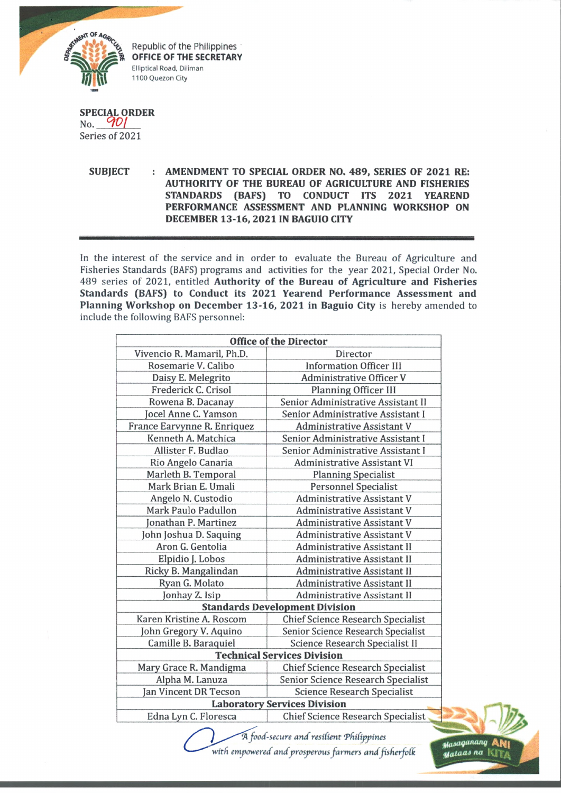

Republic of the Philippines OFFICE OF THE SECRETARY Elliptical Road, Diliman 1100 Quezon City

**SPECIAL ORDER** No. *WOI* Series of 2021

> **SUBJECT : AMENDMENT TO SPECIAL ORDER NO. 489, SERIES OF 2021 RE: AUTHORITY OF THE BUREAU OF AGRICULTURE AND FISHERIES STANDARDS (BAFS) TO CONDUCT ITS 2021 YEAREND PERFORMANCE ASSESSMENT AND PLANNING WORKSHOP ON DECEMBER 13-16, 2021 IN BAGUIO CITY**

In the interest of the service and in order to evaluate the Bureau of Agriculture and Fisheries Standards (BAFS) programs and activities for the year 2021, Special Order No. 489 series of 2021, entitled **Authority of the Bureau of Agriculture and Fisheries Standards (BAFS) to Conduct its 2021 Yearend Performance Assessment and Planning Workshop on December 13-16, 2021 in Baguio City** is hereby amended to include the following BAFS personnel:

| <b>Office of the Director</b>         |                                          |
|---------------------------------------|------------------------------------------|
| Vivencio R. Mamaril, Ph.D.            | Director                                 |
| Rosemarie V. Calibo                   | <b>Information Officer III</b>           |
| Daisy E. Melegrito                    | <b>Administrative Officer V</b>          |
| Frederick C. Crisol                   | <b>Planning Officer III</b>              |
| Rowena B. Dacanay                     | Senior Administrative Assistant II       |
| Jocel Anne C. Yamson                  | Senior Administrative Assistant I        |
| France Earvynne R. Enriquez           | <b>Administrative Assistant V</b>        |
| Kenneth A. Matchica                   | Senior Administrative Assistant I        |
| Allister F. Budlao                    | Senior Administrative Assistant I        |
| Rio Angelo Canaria                    | <b>Administrative Assistant VI</b>       |
| Marleth B. Temporal                   | <b>Planning Specialist</b>               |
| Mark Brian E. Umali                   | <b>Personnel Specialist</b>              |
| Angelo N. Custodio                    | <b>Administrative Assistant V</b>        |
| Mark Paulo Padullon                   | <b>Administrative Assistant V</b>        |
| Jonathan P. Martinez                  | <b>Administrative Assistant V</b>        |
| John Joshua D. Saquing                | <b>Administrative Assistant V</b>        |
| Aron G. Gentolia                      | <b>Administrative Assistant II</b>       |
| Elpidio J. Lobos                      | Administrative Assistant II              |
| Ricky B. Mangalindan                  | Administrative Assistant II              |
| Ryan G. Molato                        | <b>Administrative Assistant II</b>       |
| Jonhay Z. Isip                        | <b>Administrative Assistant II</b>       |
| <b>Standards Development Division</b> |                                          |
| Karen Kristine A. Roscom              | <b>Chief Science Research Specialist</b> |
| John Gregory V. Aquino                | Senior Science Research Specialist       |
| Camille B. Baraquiel                  | Science Research Specialist II           |
| <b>Technical Services Division</b>    |                                          |
| Mary Grace R. Mandigma                | <b>Chief Science Research Specialist</b> |
| Alpha M. Lanuza                       | Senior Science Research Specialist       |
| Jan Vincent DR Tecson                 | <b>Science Research Specialist</b>       |
| <b>Laboratory Services Division</b>   |                                          |
| Edna Lyn C. Floresca                  | <b>Chief Science Research Specialist</b> |

*'A foocf-secure ancf resifient 'Phifippines with empowered and prosperous farmers and fisfierfolk*